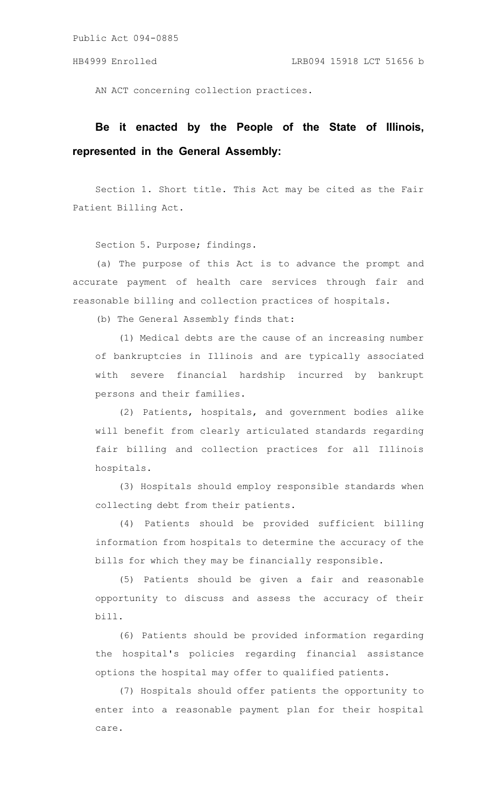AN ACT concerning collection practices.

## **Be it enacted by the People of the State of Illinois, represented in the General Assembly:**

Section 1. Short title. This Act may be cited as the Fair Patient Billing Act.

Section 5. Purpose; findings.

(a) The purpose of this Act is to advance the prompt and accurate payment of health care services through fair and reasonable billing and collection practices of hospitals.

(b) The General Assembly finds that:

(1) Medical debts are the cause of an increasing number of bankruptcies in Illinois and are typically associated with severe financial hardship incurred by bankrupt persons and their families.

(2) Patients, hospitals, and government bodies alike will benefit from clearly articulated standards regarding fair billing and collection practices for all Illinois hospitals.

(3) Hospitals should employ responsible standards when collecting debt from their patients.

(4) Patients should be provided sufficient billing information from hospitals to determine the accuracy of the bills for which they may be financially responsible.

(5) Patients should be given a fair and reasonable opportunity to discuss and assess the accuracy of their bill.

(6) Patients should be provided information regarding the hospital's policies regarding financial assistance options the hospital may offer to qualified patients.

(7) Hospitals should offer patients the opportunity to enter into a reasonable payment plan for their hospital care.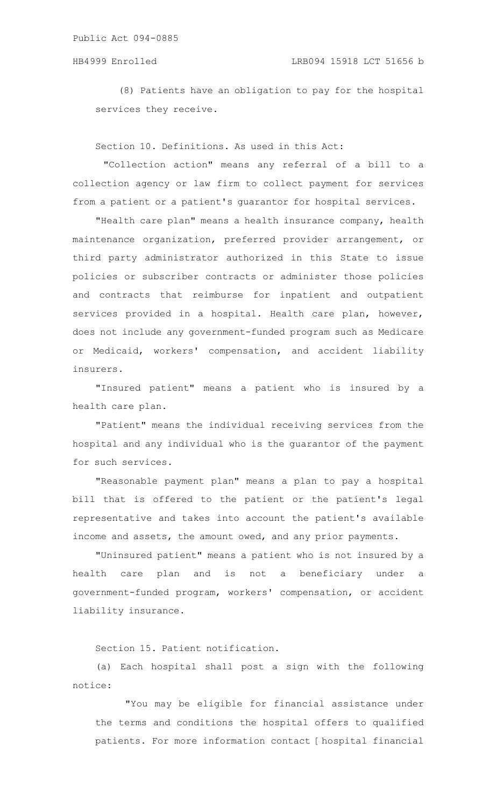(8) Patients have an obligation to pay for the hospital services they receive.

Section 10. Definitions. As used in this Act:

"Collection action" means any referral of a bill to a collection agency or law firm to collect payment for services from a patient or a patient's guarantor for hospital services.

"Health care plan" means a health insurance company, health maintenance organization, preferred provider arrangement, or third party administrator authorized in this State to issue policies or subscriber contracts or administer those policies and contracts that reimburse for inpatient and outpatient services provided in a hospital. Health care plan, however, does not include any government-funded program such as Medicare or Medicaid, workers' compensation, and accident liability insurers.

"Insured patient" means a patient who is insured by a health care plan.

"Patient" means the individual receiving services from the hospital and any individual who is the guarantor of the payment for such services.

"Reasonable payment plan" means a plan to pay a hospital bill that is offered to the patient or the patient's legal representative and takes into account the patient's available income and assets, the amount owed, and any prior payments.

"Uninsured patient" means a patient who is not insured by a health care plan and is not a beneficiary under a government-funded program, workers' compensation, or accident liability insurance.

Section 15. Patient notification.

(a) Each hospital shall post a sign with the following notice:

"You may be eligible for financial assistance under the terms and conditions the hospital offers to qualified patients. For more information contact [hospital financial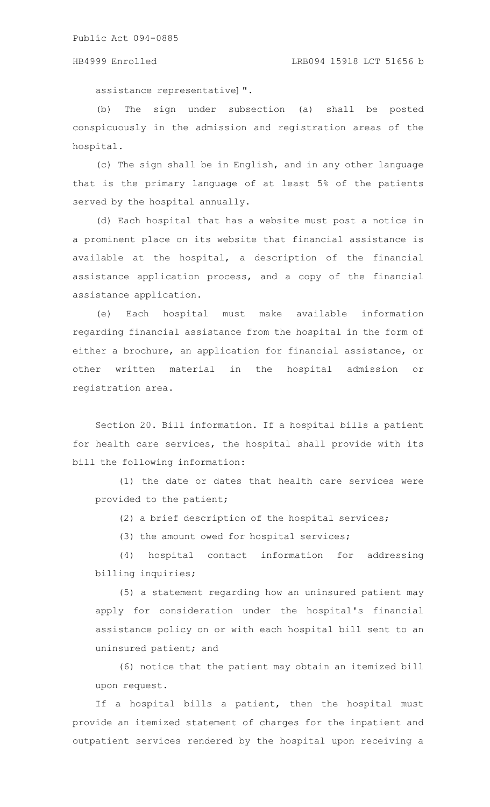assistance representative]".

(b) The sign under subsection (a) shall be posted conspicuously in the admission and registration areas of the hospital.

(c) The sign shall be in English, and in any other language that is the primary language of at least 5% of the patients served by the hospital annually.

(d) Each hospital that has a website must post a notice in a prominent place on its website that financial assistance is available at the hospital, a description of the financial assistance application process, and a copy of the financial assistance application.

(e) Each hospital must make available information regarding financial assistance from the hospital in the form of either a brochure, an application for financial assistance, or other written material in the hospital admission or registration area.

Section 20. Bill information. If a hospital bills a patient for health care services, the hospital shall provide with its bill the following information:

(1) the date or dates that health care services were provided to the patient;

(2) a brief description of the hospital services;

(3) the amount owed for hospital services;

(4) hospital contact information for addressing billing inquiries;

(5) a statement regarding how an uninsured patient may apply for consideration under the hospital's financial assistance policy on or with each hospital bill sent to an uninsured patient; and

(6) notice that the patient may obtain an itemized bill upon request.

If a hospital bills a patient, then the hospital must provide an itemized statement of charges for the inpatient and outpatient services rendered by the hospital upon receiving a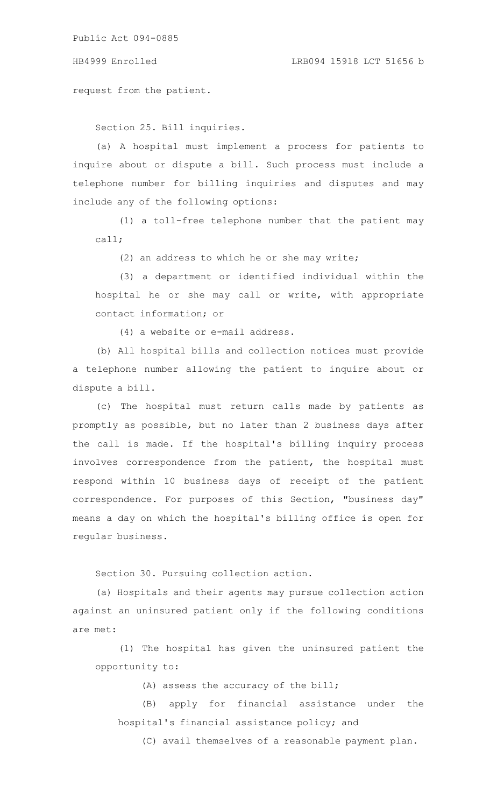request from the patient.

Section 25. Bill inquiries.

(a) A hospital must implement a process for patients to inquire about or dispute a bill. Such process must include a telephone number for billing inquiries and disputes and may include any of the following options:

(1) a toll-free telephone number that the patient may call;

(2) an address to which he or she may write;

(3) a department or identified individual within the hospital he or she may call or write, with appropriate contact information; or

(4) a website or e-mail address.

(b) All hospital bills and collection notices must provide a telephone number allowing the patient to inquire about or dispute a bill.

(c) The hospital must return calls made by patients as promptly as possible, but no later than 2 business days after the call is made. If the hospital's billing inquiry process involves correspondence from the patient, the hospital must respond within 10 business days of receipt of the patient correspondence. For purposes of this Section, "business day" means a day on which the hospital's billing office is open for regular business.

Section 30. Pursuing collection action.

(a) Hospitals and their agents may pursue collection action against an uninsured patient only if the following conditions are met:

(1) The hospital has given the uninsured patient the opportunity to:

(A) assess the accuracy of the bill;

(B) apply for financial assistance under the hospital's financial assistance policy; and

(C) avail themselves of a reasonable payment plan.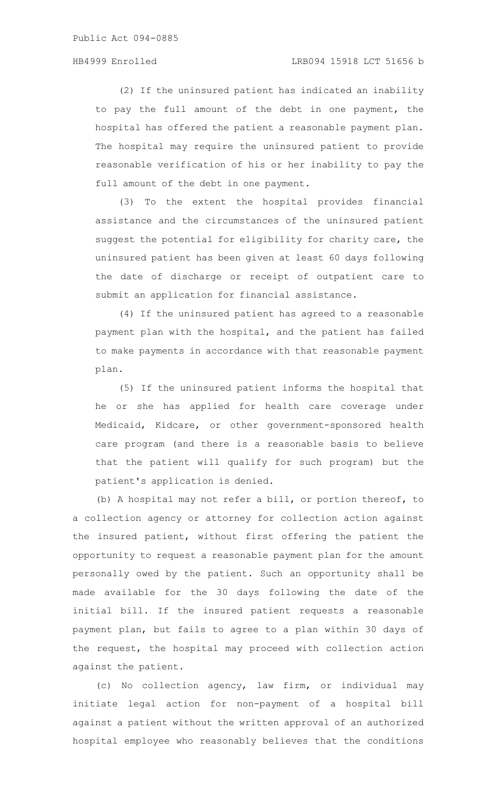(2) If the uninsured patient has indicated an inability to pay the full amount of the debt in one payment, the hospital has offered the patient a reasonable payment plan. The hospital may require the uninsured patient to provide reasonable verification of his or her inability to pay the full amount of the debt in one payment.

(3) To the extent the hospital provides financial assistance and the circumstances of the uninsured patient suggest the potential for eligibility for charity care, the uninsured patient has been given at least 60 days following the date of discharge or receipt of outpatient care to submit an application for financial assistance.

(4) If the uninsured patient has agreed to a reasonable payment plan with the hospital, and the patient has failed to make payments in accordance with that reasonable payment plan.

(5) If the uninsured patient informs the hospital that he or she has applied for health care coverage under Medicaid, Kidcare, or other government-sponsored health care program (and there is a reasonable basis to believe that the patient will qualify for such program) but the patient's application is denied.

(b) A hospital may not refer a bill, or portion thereof, to a collection agency or attorney for collection action against the insured patient, without first offering the patient the opportunity to request a reasonable payment plan for the amount personally owed by the patient. Such an opportunity shall be made available for the 30 days following the date of the initial bill. If the insured patient requests a reasonable payment plan, but fails to agree to a plan within 30 days of the request, the hospital may proceed with collection action against the patient.

(c) No collection agency, law firm, or individual may initiate legal action for non-payment of a hospital bill against a patient without the written approval of an authorized hospital employee who reasonably believes that the conditions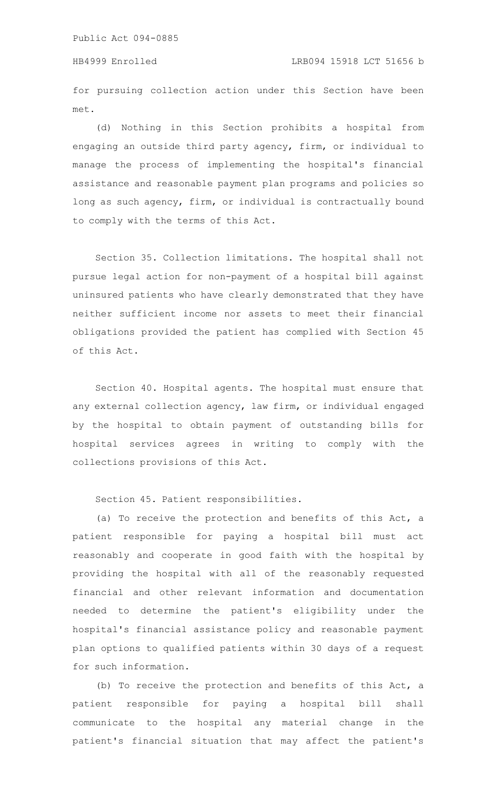for pursuing collection action under this Section have been met.

(d) Nothing in this Section prohibits a hospital from engaging an outside third party agency, firm, or individual to manage the process of implementing the hospital's financial assistance and reasonable payment plan programs and policies so long as such agency, firm, or individual is contractually bound to comply with the terms of this Act.

Section 35. Collection limitations. The hospital shall not pursue legal action for non-payment of a hospital bill against uninsured patients who have clearly demonstrated that they have neither sufficient income nor assets to meet their financial obligations provided the patient has complied with Section 45 of this Act.

Section 40. Hospital agents. The hospital must ensure that any external collection agency, law firm, or individual engaged by the hospital to obtain payment of outstanding bills for hospital services agrees in writing to comply with the collections provisions of this Act.

Section 45. Patient responsibilities.

(a) To receive the protection and benefits of this Act, a patient responsible for paying a hospital bill must act reasonably and cooperate in good faith with the hospital by providing the hospital with all of the reasonably requested financial and other relevant information and documentation needed to determine the patient's eligibility under the hospital's financial assistance policy and reasonable payment plan options to qualified patients within 30 days of a request for such information.

(b) To receive the protection and benefits of this Act, a patient responsible for paying a hospital bill shall communicate to the hospital any material change in the patient's financial situation that may affect the patient's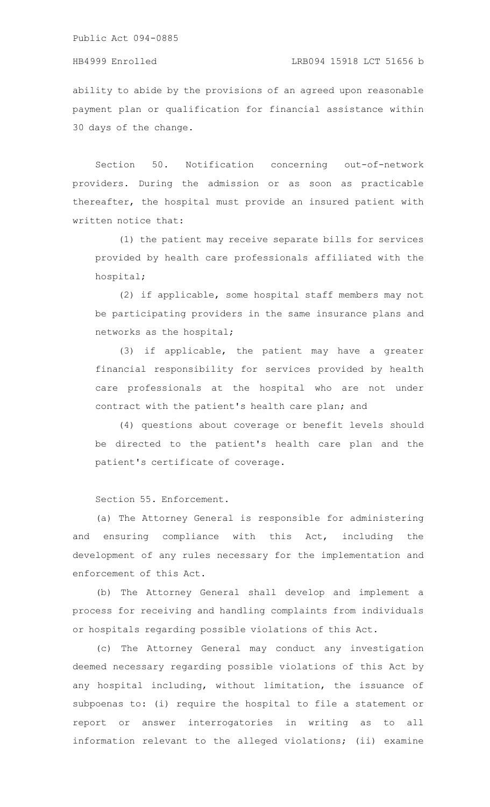ability to abide by the provisions of an agreed upon reasonable payment plan or qualification for financial assistance within 30 days of the change.

Section 50. Notification concerning out-of-network providers. During the admission or as soon as practicable thereafter, the hospital must provide an insured patient with written notice that:

(1) the patient may receive separate bills for services provided by health care professionals affiliated with the hospital;

(2) if applicable, some hospital staff members may not be participating providers in the same insurance plans and networks as the hospital;

(3) if applicable, the patient may have a greater financial responsibility for services provided by health care professionals at the hospital who are not under contract with the patient's health care plan; and

(4) questions about coverage or benefit levels should be directed to the patient's health care plan and the patient's certificate of coverage.

Section 55. Enforcement.

(a) The Attorney General is responsible for administering and ensuring compliance with this Act, including the development of any rules necessary for the implementation and enforcement of this Act.

(b) The Attorney General shall develop and implement a process for receiving and handling complaints from individuals or hospitals regarding possible violations of this Act.

(c) The Attorney General may conduct any investigation deemed necessary regarding possible violations of this Act by any hospital including, without limitation, the issuance of subpoenas to: (i) require the hospital to file a statement or report or answer interrogatories in writing as to all information relevant to the alleged violations; (ii) examine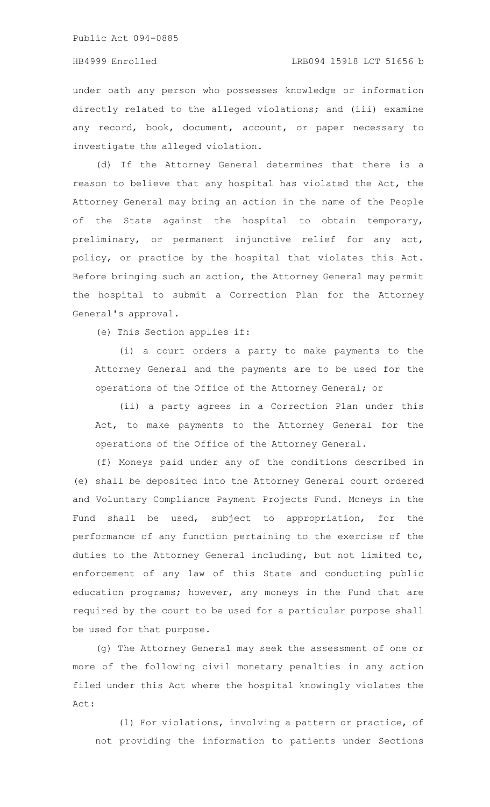## HB4999 Enrolled LRB094 15918 LCT 51656 b

under oath any person who possesses knowledge or information directly related to the alleged violations; and (iii) examine any record, book, document, account, or paper necessary to investigate the alleged violation.

(d) If the Attorney General determines that there is a reason to believe that any hospital has violated the Act, the Attorney General may bring an action in the name of the People of the State against the hospital to obtain temporary, preliminary, or permanent injunctive relief for any act, policy, or practice by the hospital that violates this Act. Before bringing such an action, the Attorney General may permit the hospital to submit a Correction Plan for the Attorney General's approval.

(e) This Section applies if:

(i) a court orders a party to make payments to the Attorney General and the payments are to be used for the operations of the Office of the Attorney General; or

(ii) a party agrees in a Correction Plan under this Act, to make payments to the Attorney General for the operations of the Office of the Attorney General.

(f) Moneys paid under any of the conditions described in (e) shall be deposited into the Attorney General court ordered and Voluntary Compliance Payment Projects Fund. Moneys in the Fund shall be used, subject to appropriation, for the performance of any function pertaining to the exercise of the duties to the Attorney General including, but not limited to, enforcement of any law of this State and conducting public education programs; however, any moneys in the Fund that are required by the court to be used for a particular purpose shall be used for that purpose.

(g) The Attorney General may seek the assessment of one or more of the following civil monetary penalties in any action filed under this Act where the hospital knowingly violates the Act:

(1) For violations, involving a pattern or practice, of not providing the information to patients under Sections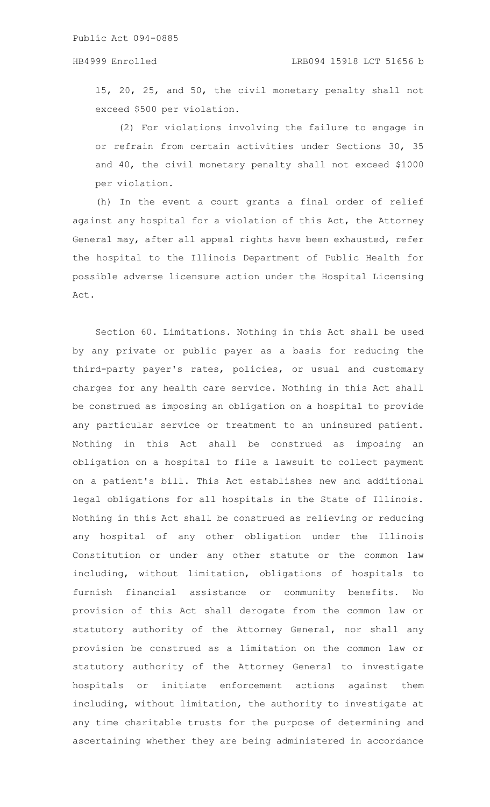15, 20, 25, and 50, the civil monetary penalty shall not exceed \$500 per violation.

(2) For violations involving the failure to engage in or refrain from certain activities under Sections 30, 35 and 40, the civil monetary penalty shall not exceed \$1000 per violation.

(h) In the event a court grants a final order of relief against any hospital for a violation of this Act, the Attorney General may, after all appeal rights have been exhausted, refer the hospital to the Illinois Department of Public Health for possible adverse licensure action under the Hospital Licensing Act.

Section 60. Limitations. Nothing in this Act shall be used by any private or public payer as a basis for reducing the third-party payer's rates, policies, or usual and customary charges for any health care service. Nothing in this Act shall be construed as imposing an obligation on a hospital to provide any particular service or treatment to an uninsured patient. Nothing in this Act shall be construed as imposing an obligation on a hospital to file a lawsuit to collect payment on a patient's bill. This Act establishes new and additional legal obligations for all hospitals in the State of Illinois. Nothing in this Act shall be construed as relieving or reducing any hospital of any other obligation under the Illinois Constitution or under any other statute or the common law including, without limitation, obligations of hospitals to furnish financial assistance or community benefits. No provision of this Act shall derogate from the common law or statutory authority of the Attorney General, nor shall any provision be construed as a limitation on the common law or statutory authority of the Attorney General to investigate hospitals or initiate enforcement actions against them including, without limitation, the authority to investigate at any time charitable trusts for the purpose of determining and ascertaining whether they are being administered in accordance